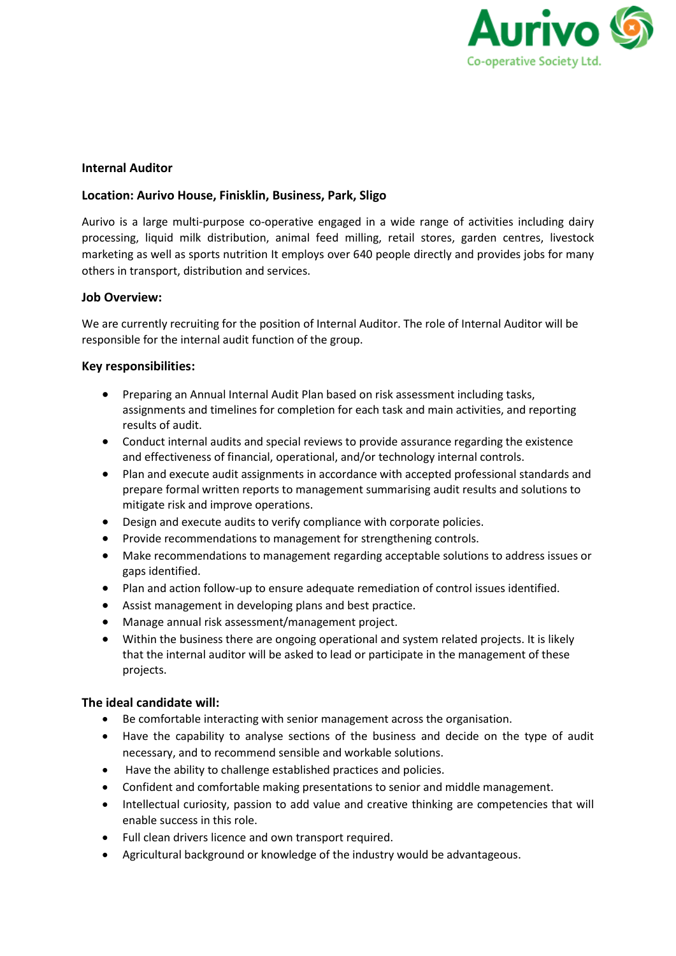

# **Internal Auditor**

## **Location: Aurivo House, Finisklin, Business, Park, Sligo**

Aurivo is a large multi-purpose co-operative engaged in a wide range of activities including dairy processing, liquid milk distribution, animal feed milling, retail stores, garden centres, livestock marketing as well as sports nutrition It employs over 640 people directly and provides jobs for many others in transport, distribution and services.

## **Job Overview:**

We are currently recruiting for the position of Internal Auditor. The role of Internal Auditor will be responsible for the internal audit function of the group.

## **Key responsibilities:**

- Preparing an Annual Internal Audit Plan based on risk assessment including tasks, assignments and timelines for completion for each task and main activities, and reporting results of audit.
- Conduct internal audits and special reviews to provide assurance regarding the existence and effectiveness of financial, operational, and/or technology internal controls.
- Plan and execute audit assignments in accordance with accepted professional standards and prepare formal written reports to management summarising audit results and solutions to mitigate risk and improve operations.
- Design and execute audits to verify compliance with corporate policies.
- Provide recommendations to management for strengthening controls.
- Make recommendations to management regarding acceptable solutions to address issues or gaps identified.
- Plan and action follow-up to ensure adequate remediation of control issues identified.
- Assist management in developing plans and best practice.
- Manage annual risk assessment/management project.
- Within the business there are ongoing operational and system related projects. It is likely that the internal auditor will be asked to lead or participate in the management of these projects.

### **The ideal candidate will:**

- Be comfortable interacting with senior management across the organisation.
- Have the capability to analyse sections of the business and decide on the type of audit necessary, and to recommend sensible and workable solutions.
- Have the ability to challenge established practices and policies.
- Confident and comfortable making presentations to senior and middle management.
- Intellectual curiosity, passion to add value and creative thinking are competencies that will enable success in this role.
- Full clean drivers licence and own transport required.
- Agricultural background or knowledge of the industry would be advantageous.